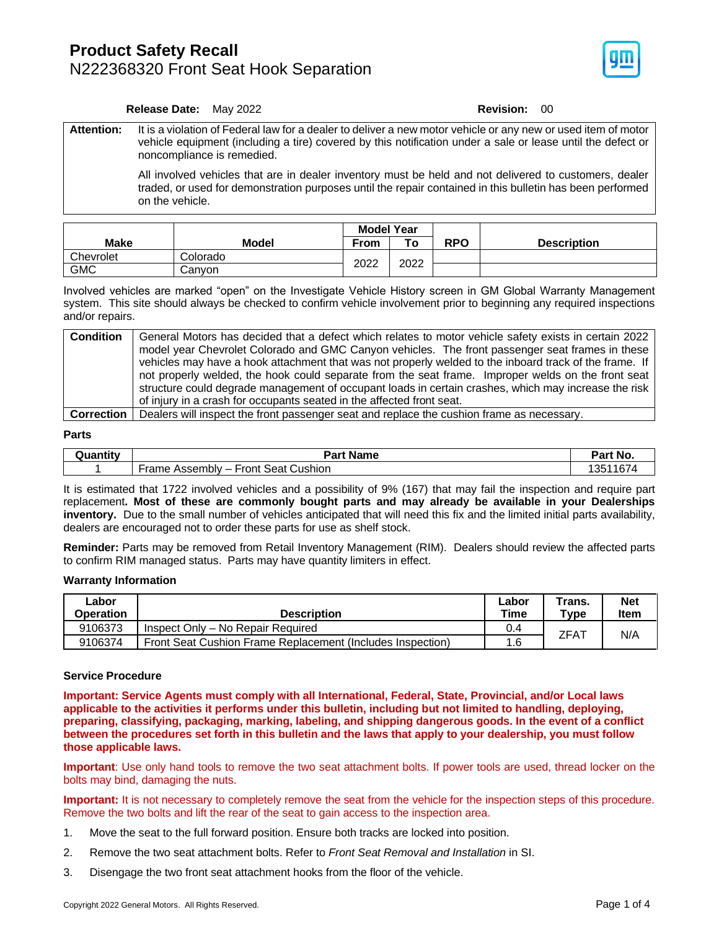### **Product Safety Recall** N222368320 Front Seat Hook Separation



### **Release Date:** May 2022 **Revision: 00**

**Attention:** It is a violation of Federal law for a dealer to deliver a new motor vehicle or any new or used item of motor vehicle equipment (including a tire) covered by this notification under a sale or lease until the defect or noncompliance is remedied.

> All involved vehicles that are in dealer inventory must be held and not delivered to customers, dealer traded, or used for demonstration purposes until the repair contained in this bulletin has been performed on the vehicle.

|             |          | <b>Model Year</b> |      |     |                    |  |  |
|-------------|----------|-------------------|------|-----|--------------------|--|--|
| <b>Make</b> | Model    | From              | Ö    | RPO | <b>Description</b> |  |  |
| Chevrolet   | Colorado |                   |      |     |                    |  |  |
| <b>GMC</b>  | Canvon   | 2022              | 2022 |     |                    |  |  |

Involved vehicles are marked "open" on the Investigate Vehicle History screen in GM Global Warranty Management system. This site should always be checked to confirm vehicle involvement prior to beginning any required inspections and/or repairs.

| <b>Condition</b> | General Motors has decided that a defect which relates to motor vehicle safety exists in certain 2022  |
|------------------|--------------------------------------------------------------------------------------------------------|
|                  | model year Chevrolet Colorado and GMC Canyon vehicles. The front passenger seat frames in these        |
|                  | vehicles may have a hook attachment that was not properly welded to the inboard track of the frame. If |
|                  | not properly welded, the hook could separate from the seat frame. Improper welds on the front seat     |
|                  | structure could degrade management of occupant loads in certain crashes, which may increase the risk   |
|                  | of injury in a crash for occupants seated in the affected front seat.                                  |
|                  |                                                                                                        |

**Correction** Dealers will inspect the front passenger seat and replace the cushion frame as necessary.

#### **Parts**

| Juantit∨ | Dort.<br>Name<br>'ar ⊾                              |                  |
|----------|-----------------------------------------------------|------------------|
|          | <b>Seat Cushion</b><br>Front<br>∙rame<br>Assembly – | 1167<br>つに<br>ັບ |

It is estimated that 1722 involved vehicles and a possibility of 9% (167) that may fail the inspection and require part replacement**. Most of these are commonly bought parts and may already be available in your Dealerships inventory.** Due to the small number of vehicles anticipated that will need this fix and the limited initial parts availability, dealers are encouraged not to order these parts for use as shelf stock.

**Reminder:** Parts may be removed from Retail Inventory Management (RIM). Dealers should review the affected parts to confirm RIM managed status. Parts may have quantity limiters in effect.

#### **Warranty Information**

| ∟abor<br>Operation | <b>Description</b>                                         |     | Trans.<br>$T$ ype | <b>Net</b><br>Item |
|--------------------|------------------------------------------------------------|-----|-------------------|--------------------|
| 9106373            | Inspect Only - No Repair Required                          | 0.4 | ZFAT              | N/A                |
| 9106374            | Front Seat Cushion Frame Replacement (Includes Inspection) | 1.6 |                   |                    |

### **Service Procedure**

**Important: Service Agents must comply with all International, Federal, State, Provincial, and/or Local laws applicable to the activities it performs under this bulletin, including but not limited to handling, deploying, preparing, classifying, packaging, marking, labeling, and shipping dangerous goods. In the event of a conflict between the procedures set forth in this bulletin and the laws that apply to your dealership, you must follow those applicable laws.**

**Important**: Use only hand tools to remove the two seat attachment bolts. If power tools are used, thread locker on the bolts may bind, damaging the nuts.

**Important:** It is not necessary to completely remove the seat from the vehicle for the inspection steps of this procedure. Remove the two bolts and lift the rear of the seat to gain access to the inspection area.

- 1. Move the seat to the full forward position. Ensure both tracks are locked into position.
- 2. Remove the two seat attachment bolts. Refer to *Front Seat Removal and Installation* in SI.
- 3. Disengage the two front seat attachment hooks from the floor of the vehicle.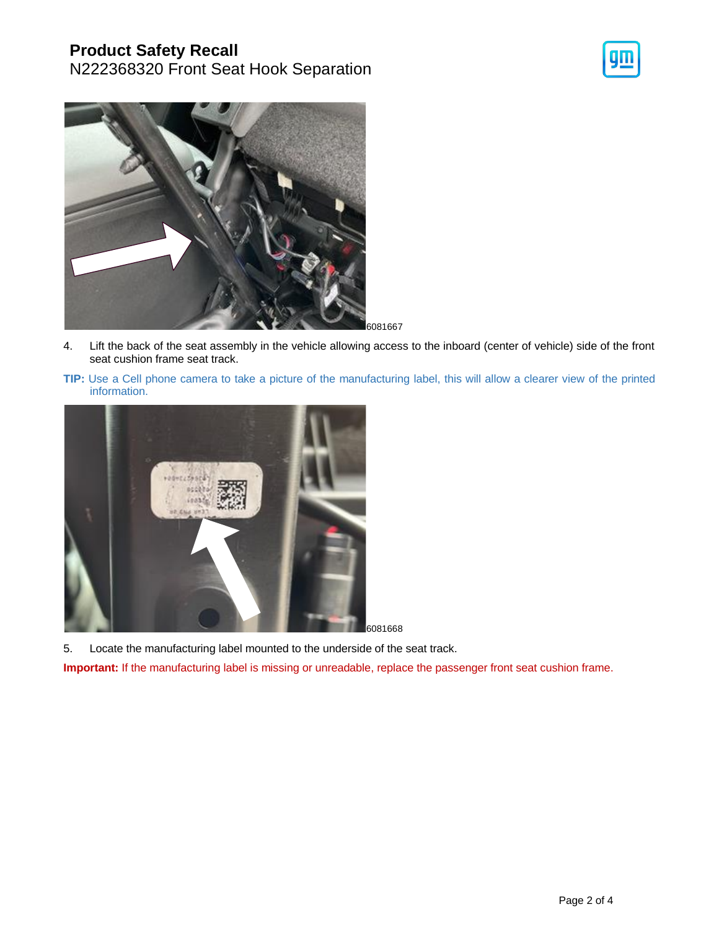## **Product Safety Recall**

N222368320 Front Seat Hook Separation





6081667

- 4. Lift the back of the seat assembly in the vehicle allowing access to the inboard (center of vehicle) side of the front seat cushion frame seat track.
- **TIP:** Use a Cell phone camera to take a picture of the manufacturing label, this will allow a clearer view of the printed information.



5. Locate the manufacturing label mounted to the underside of the seat track.

**Important:** If the manufacturing label is missing or unreadable, replace the passenger front seat cushion frame.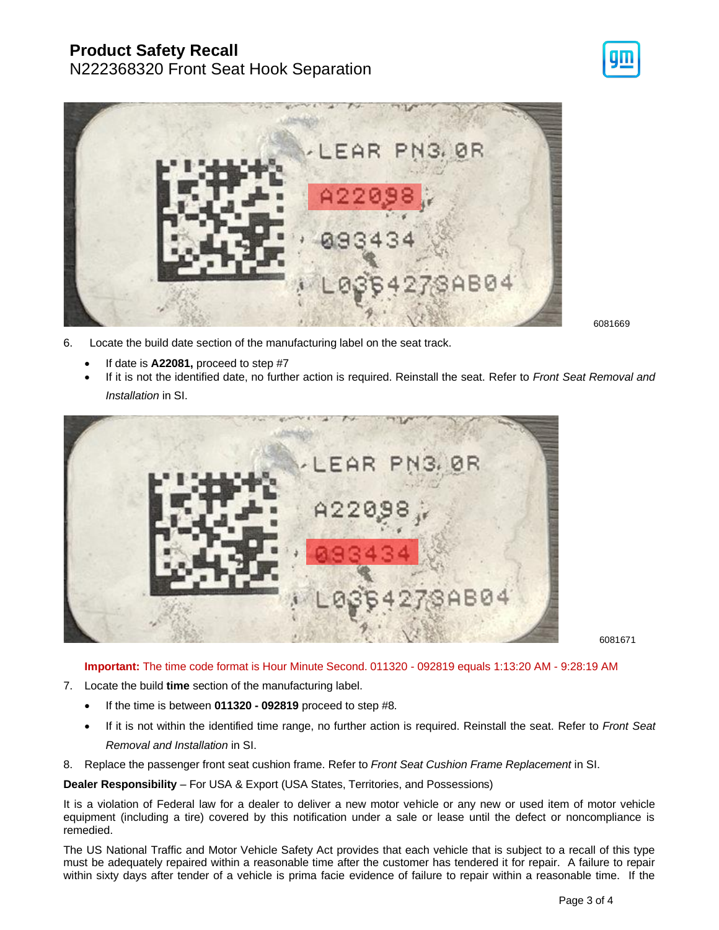# **Product Safety Recall**

# N222368320 Front Seat Hook Separation



6081669

- 6. Locate the build date section of the manufacturing label on the seat track.
	- If date is **A22081,** proceed to step #7
	- If it is not the identified date, no further action is required. Reinstall the seat. Refer to *Front Seat Removal and Installation* in SI.



6081671

**Important:** The time code format is Hour Minute Second. 011320 - 092819 equals 1:13:20 AM - 9:28:19 AM

- 7. Locate the build **time** section of the manufacturing label.
	- If the time is between **011320 - 092819** proceed to step #8.
	- If it is not within the identified time range, no further action is required. Reinstall the seat. Refer to *Front Seat Removal and Installation* in SI.
- 8. Replace the passenger front seat cushion frame. Refer to *Front Seat Cushion Frame Replacement* in SI.

**Dealer Responsibility** – For USA & Export (USA States, Territories, and Possessions)

It is a violation of Federal law for a dealer to deliver a new motor vehicle or any new or used item of motor vehicle equipment (including a tire) covered by this notification under a sale or lease until the defect or noncompliance is remedied.

The US National Traffic and Motor Vehicle Safety Act provides that each vehicle that is subject to a recall of this type must be adequately repaired within a reasonable time after the customer has tendered it for repair. A failure to repair within sixty days after tender of a vehicle is prima facie evidence of failure to repair within a reasonable time. If the